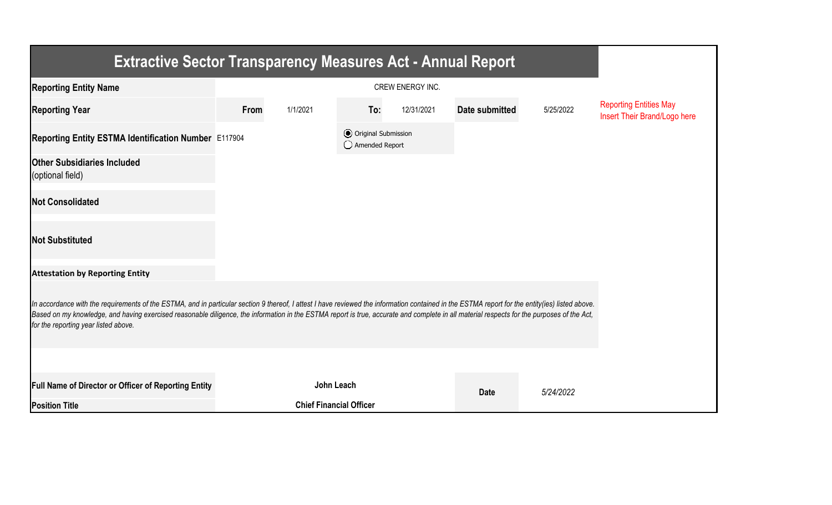| <b>Extractive Sector Transparency Measures Act - Annual Report</b>                                                                                                                                                                                                                                                                                                                                                                    |      |                                |     |                                                  |                |           |                                                               |  |  |  |
|---------------------------------------------------------------------------------------------------------------------------------------------------------------------------------------------------------------------------------------------------------------------------------------------------------------------------------------------------------------------------------------------------------------------------------------|------|--------------------------------|-----|--------------------------------------------------|----------------|-----------|---------------------------------------------------------------|--|--|--|
| <b>Reporting Entity Name</b>                                                                                                                                                                                                                                                                                                                                                                                                          |      |                                |     |                                                  |                |           |                                                               |  |  |  |
| <b>Reporting Year</b>                                                                                                                                                                                                                                                                                                                                                                                                                 | From | 1/1/2021                       | To: | 12/31/2021                                       | Date submitted | 5/25/2022 | <b>Reporting Entities May</b><br>Insert Their Brand/Logo here |  |  |  |
| Reporting Entity ESTMA Identification Number E117904                                                                                                                                                                                                                                                                                                                                                                                  |      |                                |     | <b>●</b> Original Submission<br>◯ Amended Report |                |           |                                                               |  |  |  |
| <b>Other Subsidiaries Included</b><br>(optional field)                                                                                                                                                                                                                                                                                                                                                                                |      |                                |     |                                                  |                |           |                                                               |  |  |  |
| <b>Not Consolidated</b>                                                                                                                                                                                                                                                                                                                                                                                                               |      |                                |     |                                                  |                |           |                                                               |  |  |  |
| <b>Not Substituted</b>                                                                                                                                                                                                                                                                                                                                                                                                                |      |                                |     |                                                  |                |           |                                                               |  |  |  |
| <b>Attestation by Reporting Entity</b>                                                                                                                                                                                                                                                                                                                                                                                                |      |                                |     |                                                  |                |           |                                                               |  |  |  |
| In accordance with the requirements of the ESTMA, and in particular section 9 thereof, I attest I have reviewed the information contained in the ESTMA report for the entity(ies) listed above.<br>Based on my knowledge, and having exercised reasonable diligence, the information in the ESTMA report is true, accurate and complete in all material respects for the purposes of the Act,<br>for the reporting year listed above. |      |                                |     |                                                  |                |           |                                                               |  |  |  |
|                                                                                                                                                                                                                                                                                                                                                                                                                                       |      |                                |     |                                                  |                |           |                                                               |  |  |  |
| Full Name of Director or Officer of Reporting Entity                                                                                                                                                                                                                                                                                                                                                                                  |      | John Leach                     |     |                                                  | <b>Date</b>    | 5/24/2022 |                                                               |  |  |  |
| <b>Position Title</b>                                                                                                                                                                                                                                                                                                                                                                                                                 |      | <b>Chief Financial Officer</b> |     |                                                  |                |           |                                                               |  |  |  |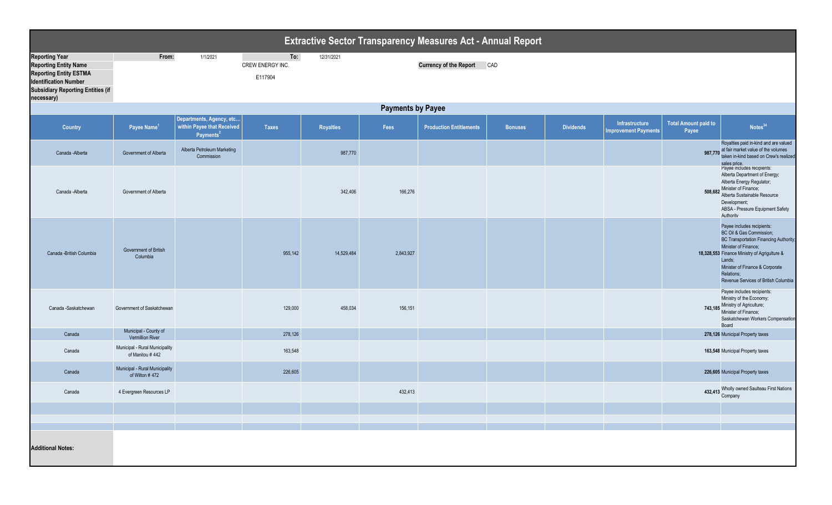| <b>Extractive Sector Transparency Measures Act - Annual Report</b>                                                                                                               |                                                   |                                                                                 |                                    |                  |           |                                   |                |                  |                                                      |                                      |                                                                                                                                                                                                                                                                                    |  |
|----------------------------------------------------------------------------------------------------------------------------------------------------------------------------------|---------------------------------------------------|---------------------------------------------------------------------------------|------------------------------------|------------------|-----------|-----------------------------------|----------------|------------------|------------------------------------------------------|--------------------------------------|------------------------------------------------------------------------------------------------------------------------------------------------------------------------------------------------------------------------------------------------------------------------------------|--|
| <b>Reporting Year</b><br><b>Reporting Entity Name</b><br><b>Reporting Entity ESTMA</b><br><b>Identification Number</b><br><b>Subsidiary Reporting Entities (if</b><br>necessary) | From:                                             | 1/1/2021                                                                        | To:<br>CREW ENERGY INC.<br>E117904 | 12/31/2021       |           | <b>Currency of the Report CAD</b> |                |                  |                                                      |                                      |                                                                                                                                                                                                                                                                                    |  |
| <b>Payments by Payee</b>                                                                                                                                                         |                                                   |                                                                                 |                                    |                  |           |                                   |                |                  |                                                      |                                      |                                                                                                                                                                                                                                                                                    |  |
| <b>Country</b>                                                                                                                                                                   | Payee Name <sup>1</sup>                           | Departments, Agency, etc<br>within Payee that Received<br>Payments <sup>2</sup> | <b>Taxes</b>                       | <b>Royalties</b> | Fees      | <b>Production Entitlements</b>    | <b>Bonuses</b> | <b>Dividends</b> | <b>Infrastructure</b><br><b>Improvement Payments</b> | <b>Total Amount paid to</b><br>Payee | Notes <sup>34</sup>                                                                                                                                                                                                                                                                |  |
| Canada - Alberta                                                                                                                                                                 | Government of Alberta                             | Alberta Petroleum Marketing<br>Commission                                       |                                    | 987,770          |           |                                   |                |                  |                                                      | 987,770                              | Royalties paid in-kind and are valued<br>at fair market value of the volumes<br>taken in-kind based on Crew's realized<br>sales price.                                                                                                                                             |  |
| Canada - Alberta                                                                                                                                                                 | Government of Alberta                             |                                                                                 |                                    | 342,406          | 166,276   |                                   |                |                  |                                                      |                                      | Payee includes recipients:<br>Alberta Department of Energy;<br>Alberta Energy Regulator;<br>508,682 Minister of Finance;<br>Alberta Sustainable Resource<br>Development;<br>ABSA - Pressure Equipment Safety<br>Authority                                                          |  |
| Canada -British Columbia                                                                                                                                                         | Government of British<br>Columbia                 |                                                                                 | 955,142                            | 14,529,484       | 2,843,927 |                                   |                |                  |                                                      |                                      | Payee includes recipients:<br>BC Oil & Gas Commission;<br><b>BC Transportation Financing Authority;</b><br>Minister of Finance;<br>18,328,553 Finance Ministry of Agrigulture &<br>Lands;<br>Minister of Finance & Corporate<br>Relations;<br>Revenue Services of British Columbia |  |
| Canada -Saskatchewan                                                                                                                                                             | Government of Saskatchewan                        |                                                                                 | 129,000                            | 458,034          | 156,151   |                                   |                |                  |                                                      |                                      | Payee includes recipients:<br>Ministry of the Economy;<br>743,185 Ministry of Agriculture;<br>Minister of Finance;<br>Saskatchewan Workers Compensation<br>Board                                                                                                                   |  |
| Canada                                                                                                                                                                           | Municipal - County of<br>Vermillion River         |                                                                                 | 278,126                            |                  |           |                                   |                |                  |                                                      |                                      | 278,126 Municipal Property taxes                                                                                                                                                                                                                                                   |  |
| Canada                                                                                                                                                                           | Municipal - Rural Municipality<br>of Manitou #442 |                                                                                 | 163,548                            |                  |           |                                   |                |                  |                                                      |                                      | 163,548 Municipal Property taxes                                                                                                                                                                                                                                                   |  |
| Canada                                                                                                                                                                           | Municipal - Rural Municipality<br>of Wilton #472  |                                                                                 | 226,605                            |                  |           |                                   |                |                  |                                                      |                                      | 226,605 Municipal Property taxes                                                                                                                                                                                                                                                   |  |
| Canada                                                                                                                                                                           | 4 Evergreen Resources LP                          |                                                                                 |                                    |                  | 432,413   |                                   |                |                  |                                                      |                                      | 432,413 Wholly owned Saulteau First Nations<br>Company                                                                                                                                                                                                                             |  |
|                                                                                                                                                                                  |                                                   |                                                                                 |                                    |                  |           |                                   |                |                  |                                                      |                                      |                                                                                                                                                                                                                                                                                    |  |
|                                                                                                                                                                                  |                                                   |                                                                                 |                                    |                  |           |                                   |                |                  |                                                      |                                      |                                                                                                                                                                                                                                                                                    |  |
| <b>Additional Notes:</b>                                                                                                                                                         |                                                   |                                                                                 |                                    |                  |           |                                   |                |                  |                                                      |                                      |                                                                                                                                                                                                                                                                                    |  |